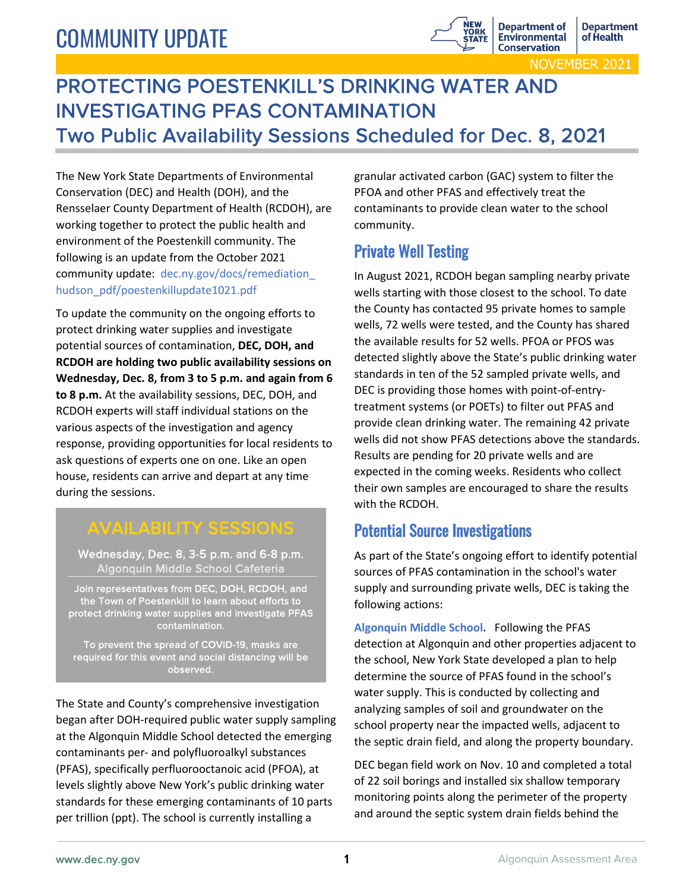# COMMUNITY UPDATE



## PROTECTING POESTENKILL'S DRINKING WATER AND INVESTIGATING PFAS CONTAMINATION Two Public Availability Sessions Scheduled for Dec. 8, 2021

The New York State Departments of Environmental Conservation (DEC) and Health (DOH), and the Rensselaer County Department of Health (RCDOH), are working together to protect the public health and environment of the Poestenkill community. The following is an update from the October 2021 community update: dec.ny.gov/docs/remediation\_ hudson\_pdf/poestenkillupdate1021.pdf

To update the community on the ongoing efforts to protect drinking water supplies and investigate potential sources of contamination, **DEC, DOH, and RCDOH are holding two public availability sessions on Wednesday, Dec. 8, from 3 to 5 p.m. and again from 6 to 8 p.m.** At the availability sessions, DEC, DOH, and RCDOH experts will staff individual stations on the various aspects of the investigation and agency response, providing opportunities for local residents to ask questions of experts one on one. Like an open house, residents can arrive and depart at any time during the sessions.

## AVAILABILITY SESSIONS

Wednesday, Dec. 8, 3-5 p.m. and 6-8 p.m. Algonquin Middle School Cafeteria

Join representatives from DEC, DOH, RCDOH, and the Town of Poestenkill to learn about efforts to protect drinking water supplies and investigate PFAS contamination.

To prevent the spread of COVID-19, masks are required for this event and social distancing will be observed.

The State and County's comprehensive investigation began after DOH-required public water supply sampling at the Algonquin Middle School detected the emerging contaminants per- and polyfluoroalkyl substances (PFAS), specifically perfluorooctanoic acid (PFOA), at levels slightly above New York's public drinking water standards for these emerging contaminants of 10 parts per trillion (ppt). The school is currently installing a

granular activated carbon (GAC) system to filter the PFOA and other PFAS and effectively treat the contaminants to provide clean water to the school community.

### Private Well Testing

In August 2021, RCDOH began sampling nearby private wells starting with those closest to the school. To date the County has contacted 95 private homes to sample wells, 72 wells were tested, and the County has shared the available results for 52 wells. PFOA or PFOS was detected slightly above the State's public drinking water standards in ten of the 52 sampled private wells, and DEC is providing those homes with point-of-entrytreatment systems (or POETs) to filter out PFAS and provide clean drinking water. The remaining 42 private wells did not show PFAS detections above the standards. Results are pending for 20 private wells and are expected in the coming weeks. Residents who collect their own samples are encouraged to share the results with the RCDOH.

#### Potential Source Investigations

As part of the State's ongoing effort to identify potential sources of PFAS contamination in the school's water supply and surrounding private wells, DEC is taking the following actions:

**Algonquin Middle School.** Following the PFAS detection at Algonquin and other properties adjacent to the school, New York State developed a plan to help determine the source of PFAS found in the school's water supply. This is conducted by collecting and analyzing samples of soil and groundwater on the school property near the impacted wells, adjacent to the septic drain field, and along the property boundary.

DEC began field work on Nov. 10 and completed a total of 22 soil borings and installed six shallow temporary monitoring points along the perimeter of the property and around the septic system drain fields behind the